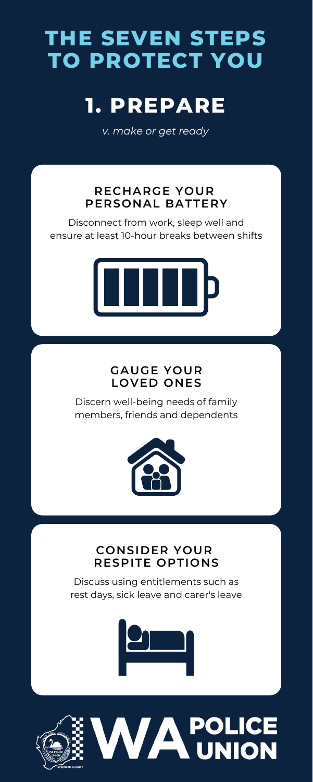## **GAUGE YOUR LOVED ONES**

Discern well-being needs of family members, friends and dependents



# **THE SEVEN STEPS TO PROTECT YOU**

# **1. PREPARE**

*v. make or get ready*

## **RECHARGE YOUR PERSONAL BATTERY**

Disconnect from work, sleep well and ensure at least 10-hour breaks between shifts



## **CONSIDER YOUR RESPITE OPTIONS**

Discuss using entitlements such as rest days, sick leave and carer's leave



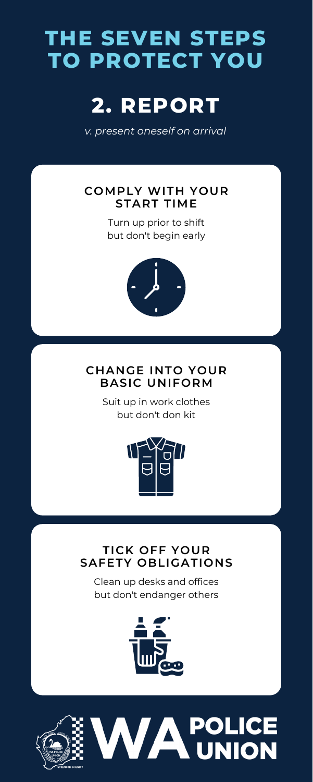## **CHANGE INTO YOUR BASIC UNIFORM**

Suit up in work clothes but don't don kit



# **THE SEVEN STEPS TO PROTECT YOU**

# **2. REPORT**

*v. present oneself on arrival*

## **COMPLY WITH YOUR START TIME**

Turn up prior to shift but don't begin early



## **TICK OFF YOUR SAFETY OBLIGATIONS**

Clean up desks and offices but don't endanger others



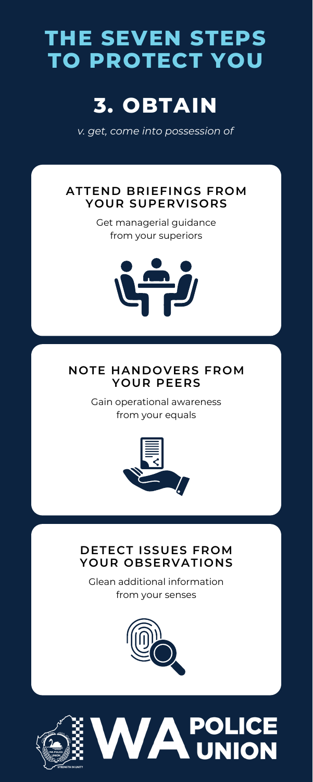# **THE SEVEN STEPS TO PROTECT YOU**

# **3. OBTAIN**

*v. get, come into possession of*

## **ATTEND BRIEFINGS FROM YOUR SUPERVISORS**

Get managerial guidance from your superiors



## **NOTE HANDOVERS FROM YOUR PEERS**

Gain operational awareness from your equals



## **DETECT ISSUES FROM YOUR OBSERVATIONS**

Glean additional information from your senses



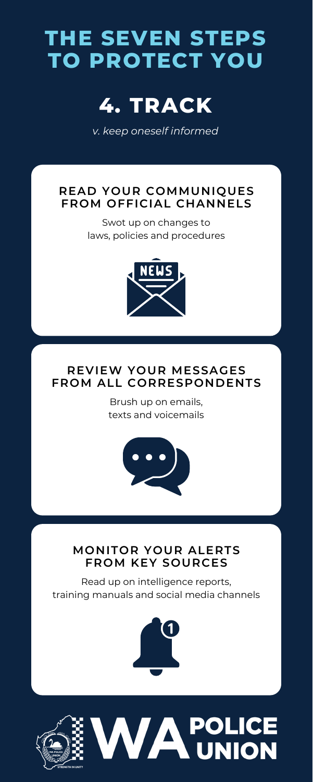# **THE SEVEN STEPS TO PROTECT YOU**



*v. keep oneself informed*

## **READ YOUR COMMUNIQUES FROM OFFICIAL CHANNELS**

Swot up on changes to laws, policies and procedures



## **REVIEW YOUR MESSAGES FROM ALL CORRESPONDENTS**

Brush up on emails, texts and voicemails



## **MONITOR YOUR ALERTS FROM KEY SOURCES**

Read up on intelligence reports, training manuals and social media channels



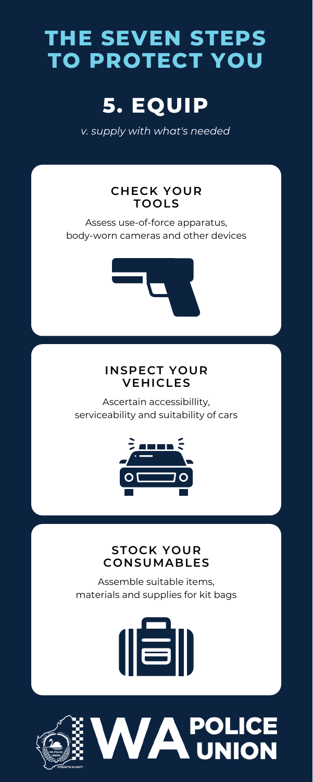## **INSPECT YOUR VEHICLES**

Ascertain accessibillity, serviceability and suitability of cars





# **THE SEVEN STEPS TO PROTECT YOU**

# **5. EQUIP**

*v. supply with what's needed*

## **CHECK YOUR TOOLS**

Assess use-of-force apparatus, body-worn cameras and other devices



#### **STOCK YOUR CONSUMABLES**

Assemble suitable items, materials and supplies for kit bags



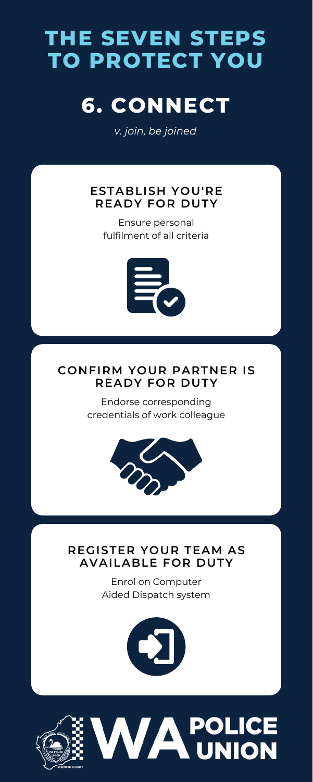## **CONFIRM YOUR PARTNER IS READY FOR DUTY**

Endorse corresponding credentials of work colleague



## **THE SEVEN STEPS TO PROTECT YOU**

# **6. CONNECT**

*v. join, be joined*

## **ESTABLISH YOU'RE READY FOR DUTY**

Ensure personal fulfilment of all criteria



### **REGISTER YOUR TEAM AS AVAILABLE FOR DUTY**

Enrol on Computer Aided Dispatch system